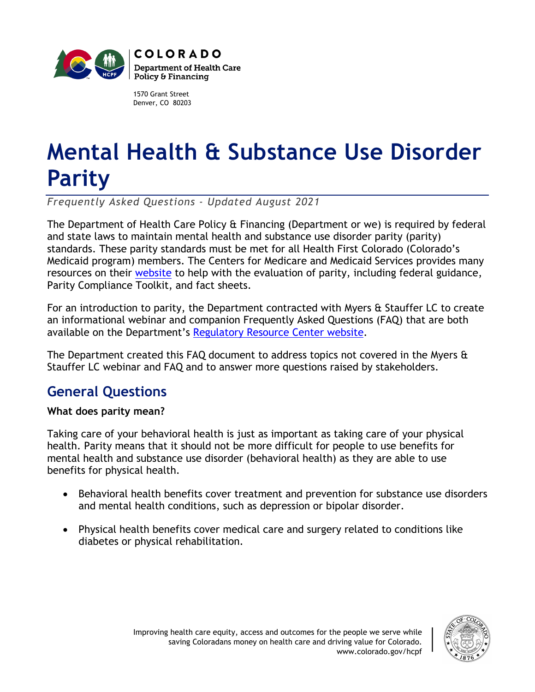

1570 Grant Street Denver, CO 80203

# **Mental Health & Substance Use Disorder Parity**

*Frequently Asked Questions - Updated August 2021*

The Department of Health Care Policy & Financing (Department or we) is required by federal and state laws to maintain mental health and substance use disorder parity (parity) standards. These parity standards must be met for all Health First Colorado (Colorado's Medicaid program) members. The Centers for Medicare and Medicaid Services provides many resources on their [website](https://www.medicaid.gov/medicaid/benefits/behavioral-health-services/parity/index.html) to help with the evaluation of parity, including federal guidance, Parity Compliance Toolkit, and fact sheets.

For an introduction to parity, the Department contracted with Myers & Stauffer LC to create an informational webinar and companion Frequently Asked Questions (FAQ) that are both available on the Department's [Regulatory Resource Center website.](https://hcpf.colorado.gov/regulatory-resource-center)

The Department created this FAQ document to address topics not covered in the Myers & Stauffer LC webinar and FAQ and to answer more questions raised by stakeholders.

### **General Questions**

### **What does parity mean?**

Taking care of your behavioral health is just as important as taking care of your physical health. Parity means that it should not be more difficult for people to use benefits for mental health and substance use disorder (behavioral health) as they are able to use benefits for physical health.

- Behavioral health benefits cover treatment and prevention for substance use disorders and mental health conditions, such as depression or bipolar disorder.
- Physical health benefits cover medical care and surgery related to conditions like diabetes or physical rehabilitation.

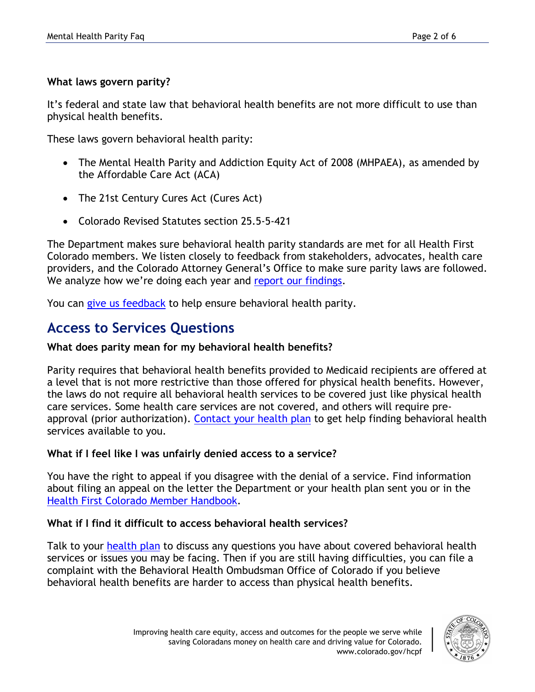### **What laws govern parity?**

It's federal and state law that behavioral health benefits are not more difficult to use than physical health benefits.

These laws govern behavioral health parity:

- The Mental Health Parity and Addiction Equity Act of 2008 (MHPAEA), as amended by the Affordable Care Act (ACA)
- The 21st Century Cures Act (Cures Act)
- Colorado Revised Statutes section 25.5-5-421

The Department makes sure behavioral health parity standards are met for all Health First Colorado members. We listen closely to feedback from stakeholders, advocates, health care providers, and the Colorado Attorney General's Office to make sure parity laws are followed. We analyze how we're doing each year and [report our findings.](https://hcpf.colorado.gov/regulatory-resource-center)

You can [give us feedback](https://hcpf.colorado.gov/form/mental-health-parity-feedback) to help ensure behavioral health parity.

### **Access to Services Questions**

### **What does parity mean for my behavioral health benefits?**

Parity requires that behavioral health benefits provided to Medicaid recipients are offered at a level that is not more restrictive than those offered for physical health benefits. However, the laws do not require all behavioral health services to be covered just like physical health care services. Some health care services are not covered, and others will require preapproval (prior authorization). [Contact your health plan](https://www.healthfirstcolorado.com/health-first-colorado-regional-organizations/) to get help finding behavioral health services available to you.

### **What if I feel like I was unfairly denied access to a service?**

You have the right to appeal if you disagree with the denial of a service. Find information about filing an appeal on the letter the Department or your health plan sent you or in the [Health First Colorado Member Handbook.](https://www.healthfirstcolorado.com/benefits-services/?tab=member-handbook)

### **What if I find it difficult to access behavioral health services?**

Talk to your [health plan](https://www.healthfirstcolorado.com/health-first-colorado-regional-organizations/) to discuss any questions you have about covered behavioral health services or issues you may be facing. Then if you are still having difficulties, you can file a complaint with the Behavioral Health Ombudsman Office of Colorado if you believe behavioral health benefits are harder to access than physical health benefits.

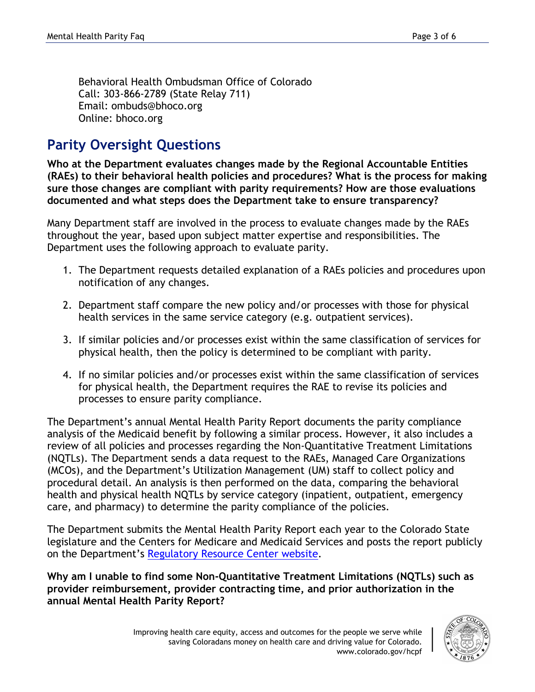Behavioral Health Ombudsman Office of Colorado Call: 303-866-2789 (State Relay 711) Email: ombuds@bhoco.org Online: bhoco.org

### **Parity Oversight Questions**

**Who at the Department evaluates changes made by the Regional Accountable Entities (RAEs) to their behavioral health policies and procedures? What is the process for making sure those changes are compliant with parity requirements? How are those evaluations documented and what steps does the Department take to ensure transparency?**

Many Department staff are involved in the process to evaluate changes made by the RAEs throughout the year, based upon subject matter expertise and responsibilities. The Department uses the following approach to evaluate parity.

- 1. The Department requests detailed explanation of a RAEs policies and procedures upon notification of any changes.
- 2. Department staff compare the new policy and/or processes with those for physical health services in the same service category (e.g. outpatient services).
- 3. If similar policies and/or processes exist within the same classification of services for physical health, then the policy is determined to be compliant with parity.
- 4. If no similar policies and/or processes exist within the same classification of services for physical health, the Department requires the RAE to revise its policies and processes to ensure parity compliance.

The Department's annual Mental Health Parity Report documents the parity compliance analysis of the Medicaid benefit by following a similar process. However, it also includes a review of all policies and processes regarding the Non-Quantitative Treatment Limitations (NQTLs). The Department sends a data request to the RAEs, Managed Care Organizations (MCOs), and the Department's Utilization Management (UM) staff to collect policy and procedural detail. An analysis is then performed on the data, comparing the behavioral health and physical health NQTLs by service category (inpatient, outpatient, emergency care, and pharmacy) to determine the parity compliance of the policies.

The Department submits the Mental Health Parity Report each year to the Colorado State legislature and the Centers for Medicare and Medicaid Services and posts the report publicly on the Department's [Regulatory Resource Center website.](https://hcpf.colorado.gov/regulatory-resource-center)

**Why am I unable to find some Non-Quantitative Treatment Limitations (NQTLs) such as provider reimbursement, provider contracting time, and prior authorization in the annual Mental Health Parity Report?** 

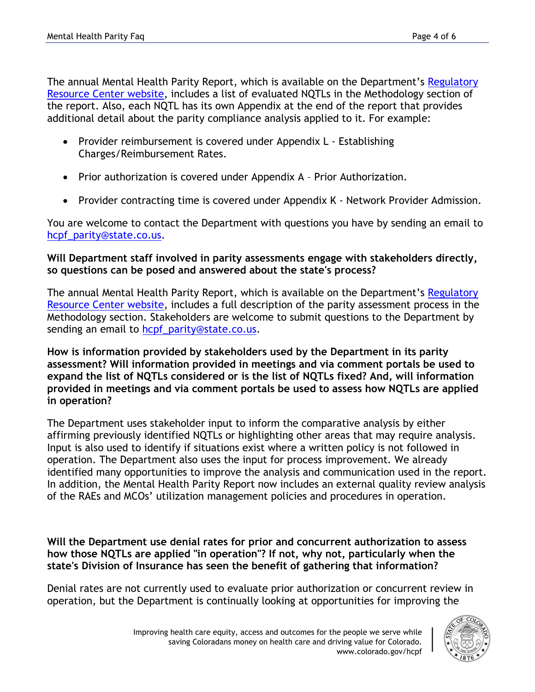The annual Mental Health Parity Report, which is available on the Department's Regulatory [Resource Center website,](https://hcpf.colorado.gov/regulatory-resource-center) includes a list of evaluated NQTLs in the Methodology section of the report. Also, each NQTL has its own Appendix at the end of the report that provides additional detail about the parity compliance analysis applied to it. For example:

- Provider reimbursement is covered under Appendix L Establishing Charges/Reimbursement Rates.
- Prior authorization is covered under Appendix A Prior Authorization.
- Provider contracting time is covered under Appendix K Network Provider Admission.

You are welcome to contact the Department with questions you have by sending an email to [hcpf\\_parity@state.co.us.](mailto:hcpf_parity@state.co.us)

### **Will Department staff involved in parity assessments engage with stakeholders directly, so questions can be posed and answered about the state's process?**

The annual Mental Health Parity Report, which is available on the Department's Regulatory [Resource Center website,](https://hcpf.colorado.gov/regulatory-resource-center) includes a full description of the parity assessment process in the Methodology section. Stakeholders are welcome to submit questions to the Department by sending an email to [hcpf\\_parity@state.co.us.](mailto:hcpf_parity@state.co.us)

**How is information provided by stakeholders used by the Department in its parity assessment? Will information provided in meetings and via comment portals be used to expand the list of NQTLs considered or is the list of NQTLs fixed? And, will information provided in meetings and via comment portals be used to assess how NQTLs are applied in operation?** 

The Department uses stakeholder input to inform the comparative analysis by either affirming previously identified NQTLs or highlighting other areas that may require analysis. Input is also used to identify if situations exist where a written policy is not followed in operation. The Department also uses the input for process improvement. We already identified many opportunities to improve the analysis and communication used in the report. In addition, the Mental Health Parity Report now includes an external quality review analysis of the RAEs and MCOs' utilization management policies and procedures in operation.

**Will the Department use denial rates for prior and concurrent authorization to assess how those NQTLs are applied "in operation"? If not, why not, particularly when the state's Division of Insurance has seen the benefit of gathering that information?**

Denial rates are not currently used to evaluate prior authorization or concurrent review in operation, but the Department is continually looking at opportunities for improving the

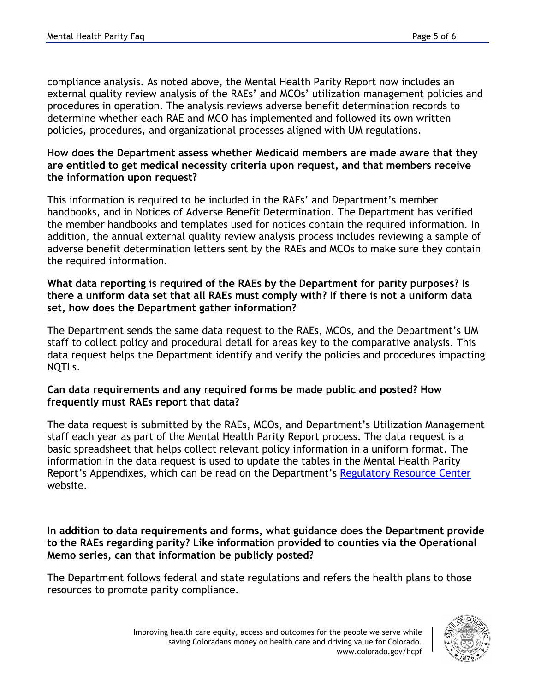compliance analysis. As noted above, the Mental Health Parity Report now includes an external quality review analysis of the RAEs' and MCOs' utilization management policies and procedures in operation. The analysis reviews adverse benefit determination records to determine whether each RAE and MCO has implemented and followed its own written policies, procedures, and organizational processes aligned with UM regulations.

#### **How does the Department assess whether Medicaid members are made aware that they are entitled to get medical necessity criteria upon request, and that members receive the information upon request?**

This information is required to be included in the RAEs' and Department's member handbooks, and in Notices of Adverse Benefit Determination. The Department has verified the member handbooks and templates used for notices contain the required information. In addition, the annual external quality review analysis process includes reviewing a sample of adverse benefit determination letters sent by the RAEs and MCOs to make sure they contain the required information.

### **What data reporting is required of the RAEs by the Department for parity purposes? Is there a uniform data set that all RAEs must comply with? If there is not a uniform data set, how does the Department gather information?**

The Department sends the same data request to the RAEs, MCOs, and the Department's UM staff to collect policy and procedural detail for areas key to the comparative analysis. This data request helps the Department identify and verify the policies and procedures impacting NQTLs.

#### **Can data requirements and any required forms be made public and posted? How frequently must RAEs report that data?**

The data request is submitted by the RAEs, MCOs, and Department's Utilization Management staff each year as part of the Mental Health Parity Report process. The data request is a basic spreadsheet that helps collect relevant policy information in a uniform format. The information in the data request is used to update the tables in the Mental Health Parity Report's Appendixes, which can be read on the Department's [Regulatory Resource Center](https://hcpf.colorado.gov/regulatory-resource-center) website.

**In addition to data requirements and forms, what guidance does the Department provide to the RAEs regarding parity? Like information provided to counties via the Operational Memo series, can that information be publicly posted?**

The Department follows federal and state regulations and refers the health plans to those resources to promote parity compliance.